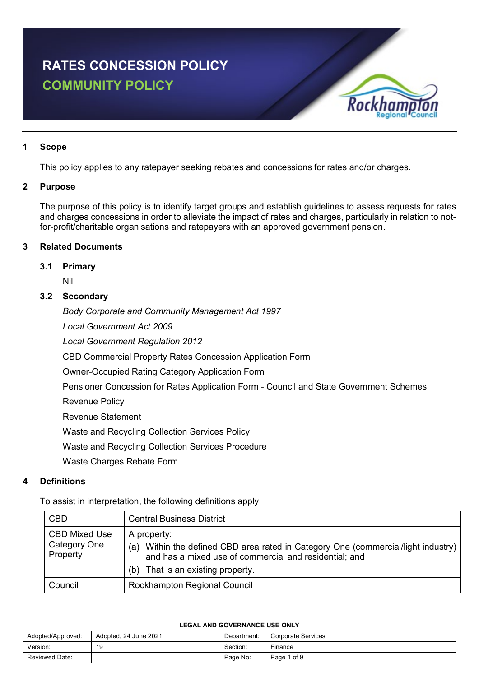# **RATES CONCESSION POLICY COMMUNITY POLICY**



# **1 Scope**

This policy applies to any ratepayer seeking rebates and concessions for rates and/or charges.

# **2 Purpose**

The purpose of this policy is to identify target groups and establish guidelines to assess requests for rates and charges concessions in order to alleviate the impact of rates and charges, particularly in relation to notfor-profit/charitable organisations and ratepayers with an approved government pension.

# **3 Related Documents**

# **3.1 Primary**

Nil

# **3.2 Secondary**

*Body Corporate and Community Management Act 1997*

*Local Government Act 2009*

*Local Government Regulation 2012*

CBD Commercial Property Rates Concession Application Form

Owner-Occupied Rating Category Application Form

Pensioner Concession for Rates Application Form - Council and State Government Schemes

Revenue Policy

Revenue Statement

Waste and Recycling Collection Services Policy

Waste and Recycling Collection Services Procedure

Waste Charges Rebate Form

# **4 Definitions**

To assist in interpretation, the following definitions apply:

| <b>CBD</b>                                       | <b>Central Business District</b>                                                                                                                                                                      |
|--------------------------------------------------|-------------------------------------------------------------------------------------------------------------------------------------------------------------------------------------------------------|
| <b>CBD Mixed Use</b><br>Category One<br>Property | A property:<br>Within the defined CBD area rated in Category One (commercial/light industry)<br>(a)<br>and has a mixed use of commercial and residential; and<br>That is an existing property.<br>(b) |
| Council                                          | Rockhampton Regional Council                                                                                                                                                                          |

| <b>LEGAL AND GOVERNANCE USE ONLY</b> |                       |             |                    |
|--------------------------------------|-----------------------|-------------|--------------------|
| Adopted/Approved:                    | Adopted, 24 June 2021 | Department: | Corporate Services |
| Version:                             | 19                    | Section:    | Finance            |
| Reviewed Date:                       |                       | Page No:    | Page 1 of 9        |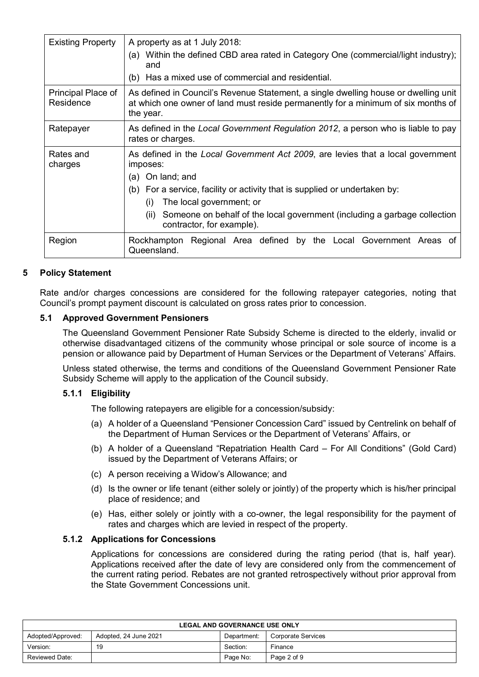| <b>Existing Property</b>        | A property as at 1 July 2018:<br>(a) Within the defined CBD area rated in Category One (commercial/light industry);<br>and                                                                                                                                                                                                                         |  |  |  |
|---------------------------------|----------------------------------------------------------------------------------------------------------------------------------------------------------------------------------------------------------------------------------------------------------------------------------------------------------------------------------------------------|--|--|--|
|                                 | (b) Has a mixed use of commercial and residential.                                                                                                                                                                                                                                                                                                 |  |  |  |
| Principal Place of<br>Residence | As defined in Council's Revenue Statement, a single dwelling house or dwelling unit<br>at which one owner of land must reside permanently for a minimum of six months of<br>the year.                                                                                                                                                              |  |  |  |
| Ratepayer                       | As defined in the Local Government Regulation 2012, a person who is liable to pay<br>rates or charges.                                                                                                                                                                                                                                             |  |  |  |
| Rates and<br>charges            | As defined in the Local Government Act 2009, are levies that a local government<br>imposes:<br>(a) On land; and<br>(b) For a service, facility or activity that is supplied or undertaken by:<br>The local government; or<br>(i)<br>Someone on behalf of the local government (including a garbage collection<br>(ii)<br>contractor, for example). |  |  |  |
| Region                          | Rockhampton Regional Area defined by the Local Government Areas of<br>Queensland.                                                                                                                                                                                                                                                                  |  |  |  |

# **5 Policy Statement**

Rate and/or charges concessions are considered for the following ratepayer categories, noting that Council's prompt payment discount is calculated on gross rates prior to concession.

# **5.1 Approved Government Pensioners**

The Queensland Government Pensioner Rate Subsidy Scheme is directed to the elderly, invalid or otherwise disadvantaged citizens of the community whose principal or sole source of income is a pension or allowance paid by Department of Human Services or the Department of Veterans' Affairs.

Unless stated otherwise, the terms and conditions of the Queensland Government Pensioner Rate Subsidy Scheme will apply to the application of the Council subsidy.

# **5.1.1 Eligibility**

The following ratepayers are eligible for a concession/subsidy:

- (a) A holder of a Queensland "Pensioner Concession Card" issued by Centrelink on behalf of the Department of Human Services or the Department of Veterans' Affairs, or
- (b) A holder of a Queensland "Repatriation Health Card For All Conditions" (Gold Card) issued by the Department of Veterans Affairs; or
- (c) A person receiving a Widow's Allowance; and
- (d) Is the owner or life tenant (either solely or jointly) of the property which is his/her principal place of residence; and
- (e) Has, either solely or jointly with a co-owner, the legal responsibility for the payment of rates and charges which are levied in respect of the property.

# **5.1.2 Applications for Concessions**

Applications for concessions are considered during the rating period (that is, half year). Applications received after the date of levy are considered only from the commencement of the current rating period. Rebates are not granted retrospectively without prior approval from the State Government Concessions unit.

| <b>LEGAL AND GOVERNANCE USE ONLY</b>                                            |    |          |             |  |
|---------------------------------------------------------------------------------|----|----------|-------------|--|
| Adopted/Approved:<br>Adopted, 24 June 2021<br>Corporate Services<br>Department: |    |          |             |  |
| Version:                                                                        | 19 | Section: | Finance     |  |
| Reviewed Date:                                                                  |    | Page No: | Page 2 of 9 |  |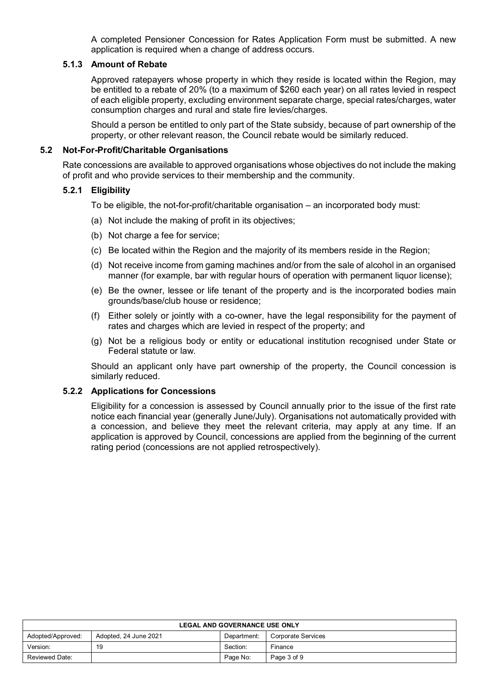A completed Pensioner Concession for Rates Application Form must be submitted. A new application is required when a change of address occurs.

#### **5.1.3 Amount of Rebate**

Approved ratepayers whose property in which they reside is located within the Region, may be entitled to a rebate of 20% (to a maximum of \$260 each year) on all rates levied in respect of each eligible property, excluding environment separate charge, special rates/charges, water consumption charges and rural and state fire levies/charges.

Should a person be entitled to only part of the State subsidy, because of part ownership of the property, or other relevant reason, the Council rebate would be similarly reduced.

#### **5.2 Not-For-Profit/Charitable Organisations**

Rate concessions are available to approved organisations whose objectives do not include the making of profit and who provide services to their membership and the community.

#### **5.2.1 Eligibility**

To be eligible, the not-for-profit/charitable organisation – an incorporated body must:

- (a) Not include the making of profit in its objectives;
- (b) Not charge a fee for service;
- (c) Be located within the Region and the majority of its members reside in the Region;
- (d) Not receive income from gaming machines and/or from the sale of alcohol in an organised manner (for example, bar with regular hours of operation with permanent liquor license);
- (e) Be the owner, lessee or life tenant of the property and is the incorporated bodies main grounds/base/club house or residence;
- (f) Either solely or jointly with a co-owner, have the legal responsibility for the payment of rates and charges which are levied in respect of the property; and
- (g) Not be a religious body or entity or educational institution recognised under State or Federal statute or law.

Should an applicant only have part ownership of the property, the Council concession is similarly reduced.

# **5.2.2 Applications for Concessions**

Eligibility for a concession is assessed by Council annually prior to the issue of the first rate notice each financial year (generally June/July). Organisations not automatically provided with a concession, and believe they meet the relevant criteria, may apply at any time. If an application is approved by Council, concessions are applied from the beginning of the current rating period (concessions are not applied retrospectively).

| <b>LEGAL AND GOVERNANCE USE ONLY</b>                                            |    |          |             |  |
|---------------------------------------------------------------------------------|----|----------|-------------|--|
| Adopted/Approved:<br>Adopted, 24 June 2021<br>Corporate Services<br>Department: |    |          |             |  |
| Version:                                                                        | 19 | Section: | Finance     |  |
| <b>Reviewed Date:</b>                                                           |    | Page No: | Page 3 of 9 |  |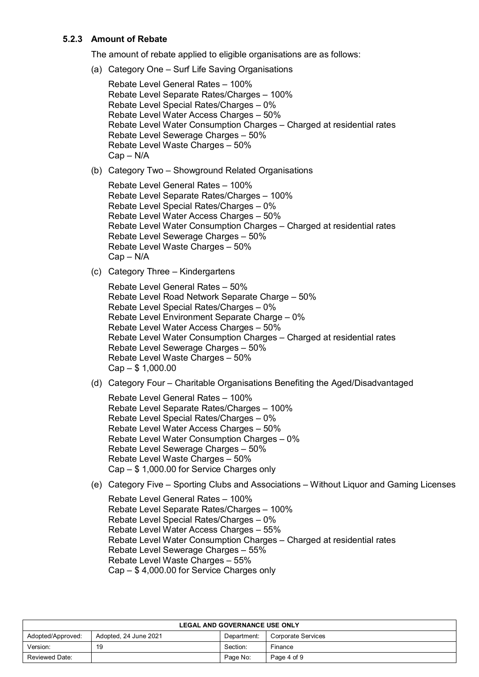# **5.2.3 Amount of Rebate**

The amount of rebate applied to eligible organisations are as follows:

(a) Category One – Surf Life Saving Organisations

```
Rebate Level General Rates – 100%
Rebate Level Separate Rates/Charges – 100%
Rebate Level Special Rates/Charges – 0%
Rebate Level Water Access Charges – 50%
Rebate Level Water Consumption Charges – Charged at residential rates
Rebate Level Sewerage Charges – 50%
Rebate Level Waste Charges – 50%
Cap – N/A
```
(b) Category Two – Showground Related Organisations

```
Rebate Level General Rates – 100%
Rebate Level Separate Rates/Charges – 100%
Rebate Level Special Rates/Charges – 0%
Rebate Level Water Access Charges – 50%
Rebate Level Water Consumption Charges – Charged at residential rates
Rebate Level Sewerage Charges – 50%
Rebate Level Waste Charges – 50%
Cap – N/A
```
(c) Category Three – Kindergartens

```
Rebate Level General Rates – 50%
Rebate Level Road Network Separate Charge – 50% 
Rebate Level Special Rates/Charges – 0%
Rebate Level Environment Separate Charge – 0%
Rebate Level Water Access Charges – 50%
Rebate Level Water Consumption Charges – Charged at residential rates
Rebate Level Sewerage Charges – 50%
Rebate Level Waste Charges – 50%
Cap – $ 1,000.00
```
(d) Category Four – Charitable Organisations Benefiting the Aged/Disadvantaged

Rebate Level General Rates – 100% Rebate Level Separate Rates/Charges – 100% Rebate Level Special Rates/Charges – 0% Rebate Level Water Access Charges – 50% Rebate Level Water Consumption Charges – 0% Rebate Level Sewerage Charges – 50% Rebate Level Waste Charges – 50% Cap – \$ 1,000.00 for Service Charges only

(e) Category Five – Sporting Clubs and Associations – Without Liquor and Gaming Licenses

Rebate Level General Rates – 100% Rebate Level Separate Rates/Charges – 100% Rebate Level Special Rates/Charges – 0% Rebate Level Water Access Charges – 55% Rebate Level Water Consumption Charges – Charged at residential rates Rebate Level Sewerage Charges – 55% Rebate Level Waste Charges – 55% Cap – \$ 4,000.00 for Service Charges only

| <b>LEGAL AND GOVERNANCE USE ONLY</b>                                            |    |          |             |  |
|---------------------------------------------------------------------------------|----|----------|-------------|--|
| Adopted, 24 June 2021<br>Adopted/Approved:<br>Corporate Services<br>Department: |    |          |             |  |
| Version:                                                                        | 19 | Section: | Finance     |  |
| Reviewed Date:                                                                  |    | Page No: | Page 4 of 9 |  |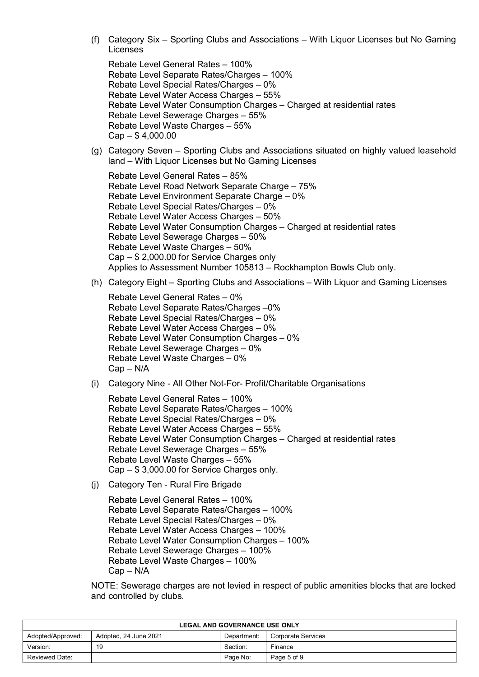(f) Category Six – Sporting Clubs and Associations – With Liquor Licenses but No Gaming Licenses

Rebate Level General Rates – 100% Rebate Level Separate Rates/Charges – 100% Rebate Level Special Rates/Charges – 0% Rebate Level Water Access Charges – 55% Rebate Level Water Consumption Charges – Charged at residential rates Rebate Level Sewerage Charges – 55% Rebate Level Waste Charges – 55% Cap – \$ 4,000.00

(g) Category Seven – Sporting Clubs and Associations situated on highly valued leasehold land – With Liquor Licenses but No Gaming Licenses

Rebate Level General Rates – 85% Rebate Level Road Network Separate Charge – 75% Rebate Level Environment Separate Charge – 0% Rebate Level Special Rates/Charges – 0% Rebate Level Water Access Charges – 50% Rebate Level Water Consumption Charges – Charged at residential rates Rebate Level Sewerage Charges – 50% Rebate Level Waste Charges – 50% Cap – \$ 2,000.00 for Service Charges only Applies to Assessment Number 105813 – Rockhampton Bowls Club only.

(h) Category Eight – Sporting Clubs and Associations – With Liquor and Gaming Licenses

Rebate Level General Rates – 0% Rebate Level Separate Rates/Charges –0% Rebate Level Special Rates/Charges – 0% Rebate Level Water Access Charges – 0% Rebate Level Water Consumption Charges – 0% Rebate Level Sewerage Charges – 0% Rebate Level Waste Charges – 0% Cap – N/A

(i) Category Nine - All Other Not-For- Profit/Charitable Organisations

Rebate Level General Rates – 100% Rebate Level Separate Rates/Charges – 100% Rebate Level Special Rates/Charges – 0% Rebate Level Water Access Charges – 55% Rebate Level Water Consumption Charges – Charged at residential rates Rebate Level Sewerage Charges – 55% Rebate Level Waste Charges – 55% Cap – \$ 3,000.00 for Service Charges only.

(j) Category Ten - Rural Fire Brigade

Rebate Level General Rates – 100% Rebate Level Separate Rates/Charges – 100% Rebate Level Special Rates/Charges – 0% Rebate Level Water Access Charges – 100% Rebate Level Water Consumption Charges – 100% Rebate Level Sewerage Charges – 100% Rebate Level Waste Charges – 100% Cap – N/A

NOTE: Sewerage charges are not levied in respect of public amenities blocks that are locked and controlled by clubs.

| <b>LEGAL AND GOVERNANCE USE ONLY</b>                                            |    |          |             |  |
|---------------------------------------------------------------------------------|----|----------|-------------|--|
| Adopted/Approved:<br>Adopted, 24 June 2021<br>Corporate Services<br>Department: |    |          |             |  |
| Version:                                                                        | 19 | Section: | Finance     |  |
| Reviewed Date:                                                                  |    | Page No: | Page 5 of 9 |  |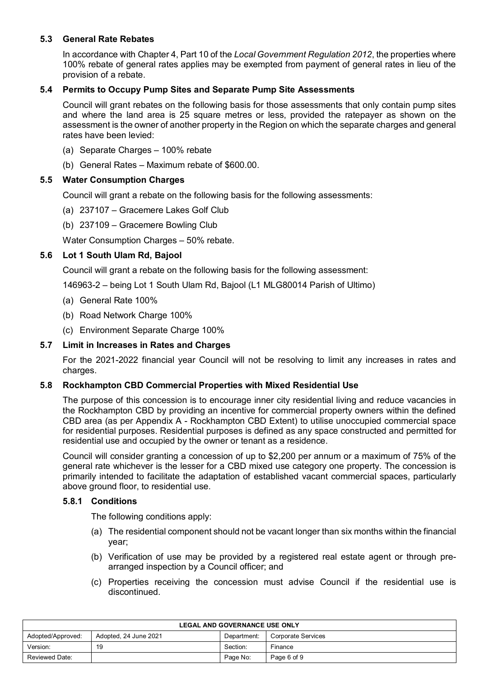# **5.3 General Rate Rebates**

In accordance with Chapter 4, Part 10 of the *Local Government Regulation 2012*, the properties where 100% rebate of general rates applies may be exempted from payment of general rates in lieu of the provision of a rebate.

# **5.4 Permits to Occupy Pump Sites and Separate Pump Site Assessments**

Council will grant rebates on the following basis for those assessments that only contain pump sites and where the land area is 25 square metres or less, provided the ratepayer as shown on the assessment is the owner of another property in the Region on which the separate charges and general rates have been levied:

- (a) Separate Charges 100% rebate
- (b) General Rates Maximum rebate of \$600.00.

# **5.5 Water Consumption Charges**

Council will grant a rebate on the following basis for the following assessments:

- (a) 237107 Gracemere Lakes Golf Club
- (b) 237109 Gracemere Bowling Club

Water Consumption Charges – 50% rebate.

#### **5.6 Lot 1 South Ulam Rd, Bajool**

Council will grant a rebate on the following basis for the following assessment:

146963-2 – being Lot 1 South Ulam Rd, Bajool (L1 MLG80014 Parish of Ultimo)

- (a) General Rate 100%
- (b) Road Network Charge 100%
- (c) Environment Separate Charge 100%

#### **5.7 Limit in Increases in Rates and Charges**

For the 2021-2022 financial year Council will not be resolving to limit any increases in rates and charges.

#### **5.8 Rockhampton CBD Commercial Properties with Mixed Residential Use**

The purpose of this concession is to encourage inner city residential living and reduce vacancies in the Rockhampton CBD by providing an incentive for commercial property owners within the defined CBD area (as per Appendix A - Rockhampton CBD Extent) to utilise unoccupied commercial space for residential purposes. Residential purposes is defined as any space constructed and permitted for residential use and occupied by the owner or tenant as a residence.

Council will consider granting a concession of up to \$2,200 per annum or a maximum of 75% of the general rate whichever is the lesser for a CBD mixed use category one property. The concession is primarily intended to facilitate the adaptation of established vacant commercial spaces, particularly above ground floor, to residential use.

#### **5.8.1 Conditions**

The following conditions apply:

- (a) The residential component should not be vacant longer than six months within the financial year;
- (b) Verification of use may be provided by a registered real estate agent or through prearranged inspection by a Council officer; and
- (c) Properties receiving the concession must advise Council if the residential use is discontinued.

| <b>LEGAL AND GOVERNANCE USE ONLY</b>                                            |    |          |         |  |
|---------------------------------------------------------------------------------|----|----------|---------|--|
| Adopted/Approved:<br>Adopted, 24 June 2021<br>Corporate Services<br>Department: |    |          |         |  |
| Version:                                                                        | 19 | Section: | Finance |  |
| Page No:<br>Page 6 of 9<br>Reviewed Date:                                       |    |          |         |  |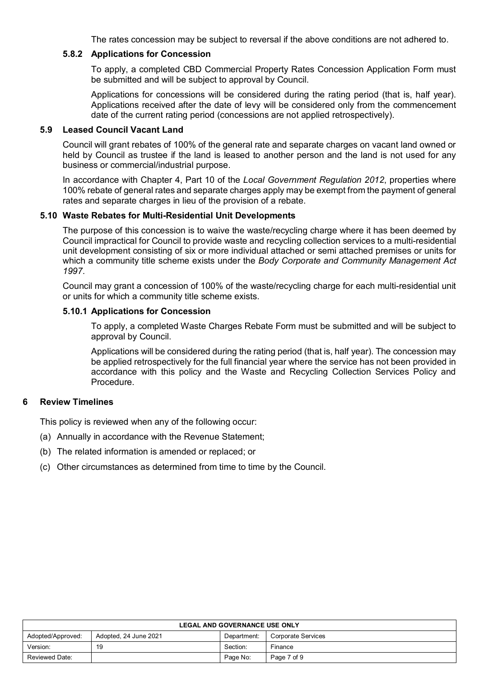The rates concession may be subject to reversal if the above conditions are not adhered to.

#### **5.8.2 Applications for Concession**

To apply, a completed CBD Commercial Property Rates Concession Application Form must be submitted and will be subject to approval by Council.

Applications for concessions will be considered during the rating period (that is, half year). Applications received after the date of levy will be considered only from the commencement date of the current rating period (concessions are not applied retrospectively).

# **5.9 Leased Council Vacant Land**

Council will grant rebates of 100% of the general rate and separate charges on vacant land owned or held by Council as trustee if the land is leased to another person and the land is not used for any business or commercial/industrial purpose.

In accordance with Chapter 4, Part 10 of the *Local Government Regulation 2012*, properties where 100% rebate of general rates and separate charges apply may be exempt from the payment of general rates and separate charges in lieu of the provision of a rebate.

#### **5.10 Waste Rebates for Multi-Residential Unit Developments**

The purpose of this concession is to waive the waste/recycling charge where it has been deemed by Council impractical for Council to provide waste and recycling collection services to a multi-residential unit development consisting of six or more individual attached or semi attached premises or units for which a community title scheme exists under the *Body Corporate and Community Management Act 1997*.

Council may grant a concession of 100% of the waste/recycling charge for each multi-residential unit or units for which a community title scheme exists.

#### **5.10.1 Applications for Concession**

To apply, a completed Waste Charges Rebate Form must be submitted and will be subject to approval by Council.

Applications will be considered during the rating period (that is, half year). The concession may be applied retrospectively for the full financial year where the service has not been provided in accordance with this policy and the Waste and Recycling Collection Services Policy and **Procedure** 

#### **6 Review Timelines**

This policy is reviewed when any of the following occur:

- (a) Annually in accordance with the Revenue Statement;
- (b) The related information is amended or replaced; or
- (c) Other circumstances as determined from time to time by the Council.

| <b>LEGAL AND GOVERNANCE USE ONLY</b>                                            |    |          |             |  |
|---------------------------------------------------------------------------------|----|----------|-------------|--|
| Adopted, 24 June 2021<br>Adopted/Approved:<br>Corporate Services<br>Department: |    |          |             |  |
| Version:                                                                        | 19 | Section: | Finance     |  |
| Reviewed Date:                                                                  |    | Page No: | Page 7 of 9 |  |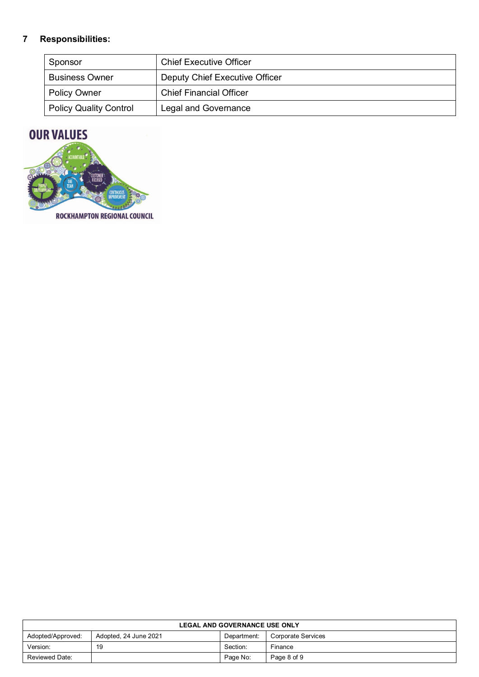# **7 Responsibilities:**

| Sponsor                       | <b>Chief Executive Officer</b> |
|-------------------------------|--------------------------------|
| <b>Business Owner</b>         | Deputy Chief Executive Officer |
| <b>Policy Owner</b>           | <b>Chief Financial Officer</b> |
| <b>Policy Quality Control</b> | Legal and Governance           |

# **OUR VALUES**



**ROCKHAMPTON REGIONAL COUNCIL** 

| <b>LEGAL AND GOVERNANCE USE ONLY</b>                                            |    |          |             |
|---------------------------------------------------------------------------------|----|----------|-------------|
| Adopted/Approved:<br>Adopted, 24 June 2021<br>Corporate Services<br>Department: |    |          |             |
| Version:                                                                        | 19 | Section: | Finance     |
| Reviewed Date:                                                                  |    | Page No: | Page 8 of 9 |